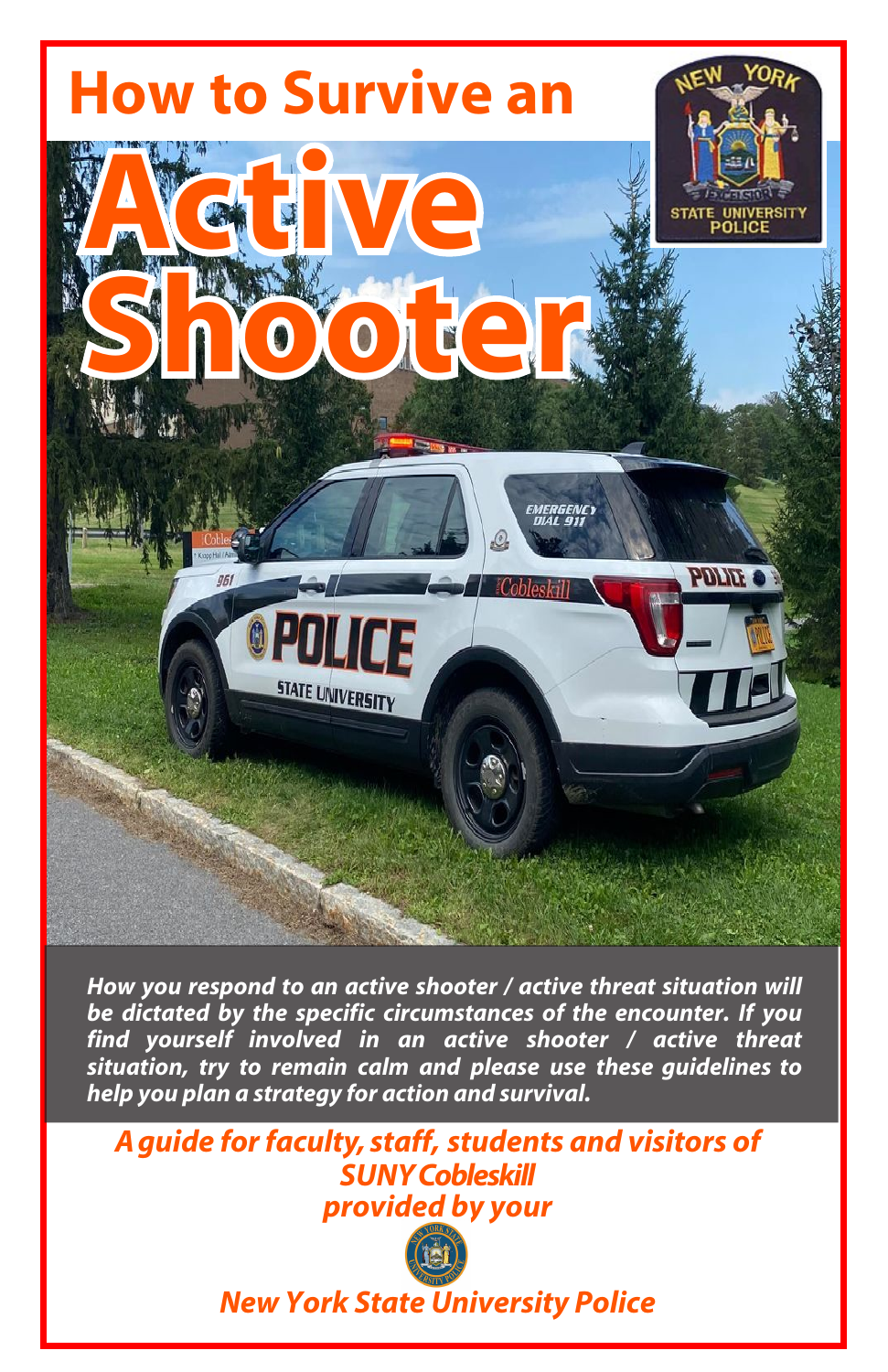

*How you respond to an active shooter* **/ active threat situation** *will be dictated by the specific circumstances of the encounter***.** *If you find yourself involved in an active shooter* **/ active threat**  *situation, try to remain calm and* **please** *use these guidelines to help you plan a strategy for* **action and** *survival.*

*A guide for faculty, staff, students and visitors of SUN***Y Cobleskill provided by your**



**New York State University Police**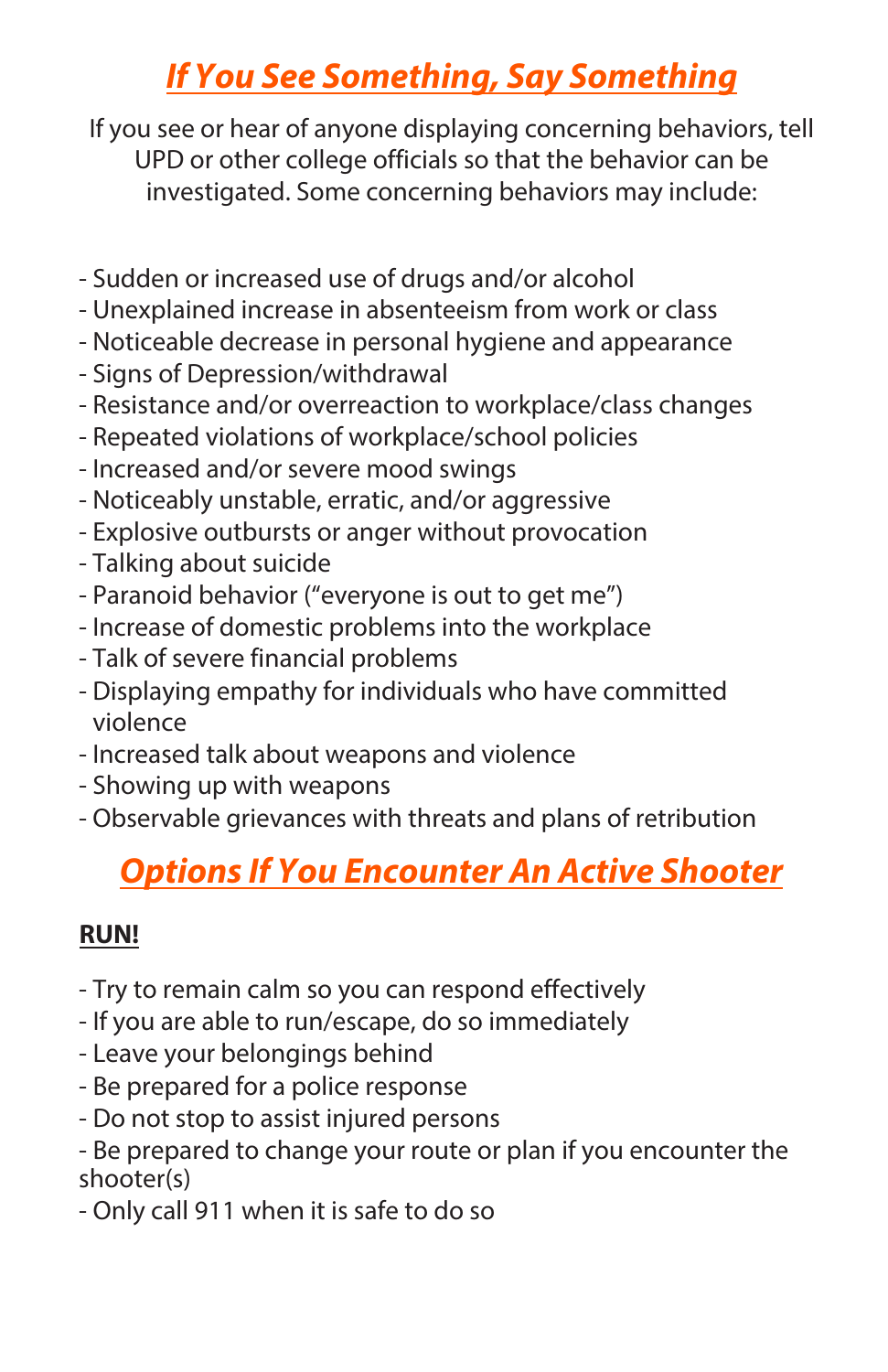### **If You See Something, Say Something**

If you see or hear of anyone displaying concerning behaviors, tell UPD or other college officials so that the behavior can be investigated. Some concerning behaviors may include:

- Sudden or increased use of drugs and/or alcohol
- Unexplained increase in absenteeism from work or class
- Noticeable decrease in personal hygiene and appearance
- Signs of Depression/withdrawal
- Resistance and/or overreaction to workplace/class changes
- Repeated violations of workplace/school policies
- Increased and/or severe mood swings
- Noticeably unstable, erratic, and/or aggressive
- Explosive outbursts or anger without provocation
- Talking about suicide
- Paranoid behavior ("everyone is out to get me")
- Increase of domestic problems into the workplace
- Talk of severe financial problems
- Displaying empathy for individuals who have committed violence
- Increased talk about weapons and violence
- Showing up with weapons
- Observable grievances with threats and plans of retribution

## **Options If You Encounter An Active Shooter**

#### **RUN!**

- Try to remain calm so you can respond effectively
- If you are able to run/escape, do so immediately
- Leave your belongings behind
- Be prepared for a police response
- Do not stop to assist injured persons
- Be prepared to change your route or plan if you encounter the shooter(s)
- Only call 911 when it is safe to do so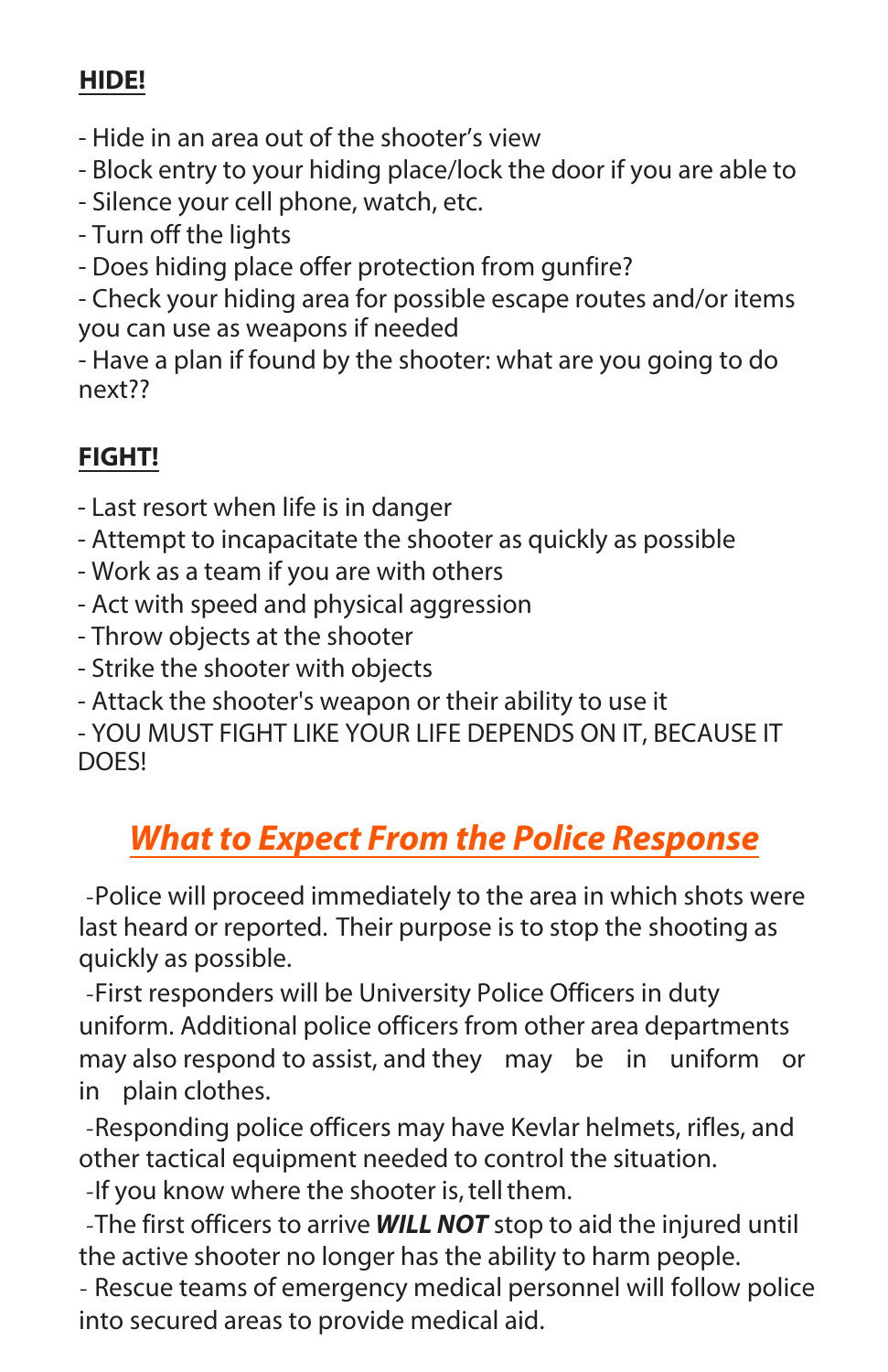#### **HIDE!**

- Hide in an area out of the shooter's view
- Block entry to your hiding place/lock the door if you are able to
- Silence your cell phone, watch, etc.
- Turn off the lights
- Does hiding place offer protection from gunfire?

- Check your hiding area for possible escape routes and/or items you can use as weapons if needed

- Have a plan if found by the shooter: what are you going to do next??

### **FIGHT!**

- Last resort when life is in danger
- Attempt to incapacitate the shooter as quickly as possible
- Work as a team if you are with others
- Act with speed and physical aggression
- Throw objects at the shooter
- Strike the shooter with objects
- Attack the shooter's weapon or their ability to use it

- YOU MUST FIGHT LIKE YOUR LIFE DEPENDS ON IT, BECAUSE IT DOES!

## *What to Expect From the* **Police Response**

-Police will proceed immediately to the area in which shots were last heard or reported. Their purpose is to stop the shooting as quickly as possible.

-First responders will be University Police Officers in duty uniform. Additional police officers from other area departments may also respond to assist, and they may be in uniform or in plain clothes.

-Responding police officers may have Kevlar helmets, rifles, and other tactical equipment needed to control the situation.

-If you know where the shooter is, tell them.

-The first officers to arrive *WILL NOT* stop to aid the injured until the active shooter no longer has the ability to harm people.

- Rescue teams of emergency medical personnel will follow police into secured areas to provide medical aid.